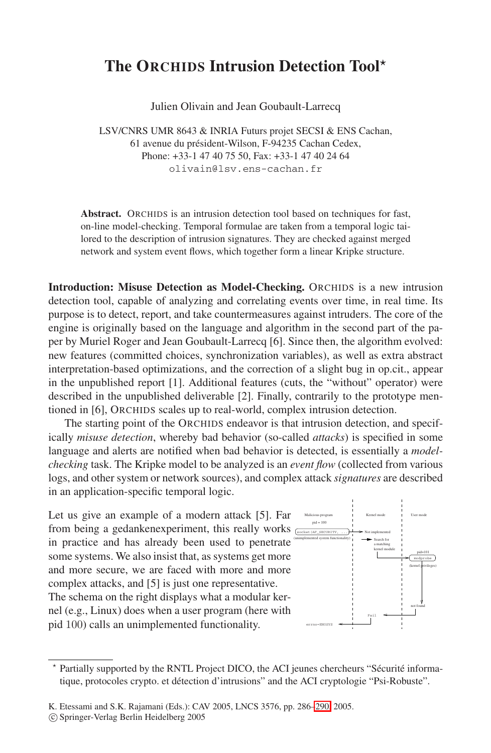## **The ORCHIDS Intrusion Detection Tool**

Julien Olivain and Jean Goubault-Larrecq

LSV/CNRS UMR 8643 & INRIA Futurs projet SECSI & ENS Cachan, 61 avenue du président-Wilson, F-94235 Cachan Cedex, Phone: +33-1 47 40 75 50, Fax: +33-1 47 40 24 64 olivain@lsv.ens-cachan.fr

**Abstract.** ORCHIDS is an intrusion detection tool based on techniques for fast, on-line model-checking. Temporal formulae are taken from a temporal logic tailored to the description of intrusion signatures. They are checked against merged network and system event flows, which together form a linear Kripke structure.

**Introduction: Misuse Detection as Model-Checking.** ORCHIDS is a new intrusion detection tool, capable of analyzing and correlating events over time, in real time. Its purpose is to detect, report, and take countermeasures against intruders. The core of the engine is originally based on the language and algorithm in the second part of the paper by Muriel Roger and Jean Goubault-Larrecq [6]. Since then, the algorithm evolved: new features (committed choices, synchronization variables), as well as extra abstract interpretation-based optimizations, and the correction of a slight bug in op.cit., appear in the unpublished report [1]. Additional features (cuts, the "without" operator) were described in the unpublished deliverable [2]. Finally, contrarily to the prototype mentioned in [6], ORCHIDS scales up to real-world, complex intrusion detection.

The starting point of the ORCHIDS endeavor is that intrusion detection, and specifically *misuse detection*, whereby bad behavior (so-called *attacks*) is specified in some language and alerts are notified when bad behavior is detected, is essentially a *modelchecking* task. The Kripke model to be analyzed is an *event flow* (collected from various logs, and other system or network sources), and complex attack *signatures* are described in an application-specific temporal logic.

Let us give an example of a modern attack [5]. Far from being a gedankenexperiment, this really works in practice and has already been used to penetrate some systems. We also insist that, as systems get more and more secure, we are faced with more and more complex attacks, and [5] is just one representative. The schema on the right displays what a modular kernel (e.g., Linux) does when a user program (here with pid 100) calls an unimplemented functionality.



Partially supported by the RNTL Project DICO, the ACI jeunes chercheurs "Sécurité informatique, protocoles crypto. et détection d'intrusions" and the ACI cryptologie "Psi-Robuste".

c Springer-Verlag Berlin Heidelberg 2005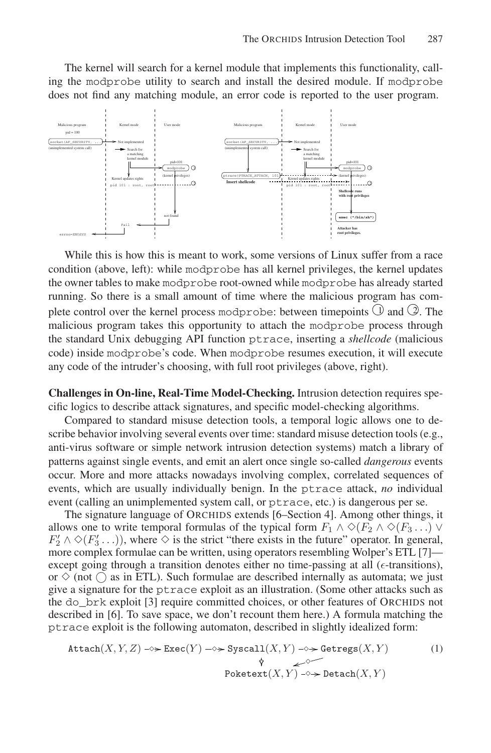The kernel will search for a kernel module that implements this functionality, calling the modprobe utility to search and install the desired module. If modprobe does not find any matching module, an error code is reported to the user program.



While this is how this is meant to work, some versions of Linux suffer from a race condition (above, left): while modprobe has all kernel privileges, the kernel updates the owner tables to make modprobe root-owned while modprobe has already started running. So there is a small amount of time where the malicious program has complete control over the kernel process modprobe: between timepoints  $\bigcirc$  and  $\oslash$ . The malicious program takes this opportunity to attach the modprobe process through the standard Unix debugging API function ptrace, inserting a *shellcode* (malicious code) inside modprobe's code. When modprobe resumes execution, it will execute any code of the intruder's choosing, with full root privileges (above, right).

**Challenges in On-line, Real-Time Model-Checking.** Intrusion detection requires specific logics to describe attack signatures, and specific model-checking algorithms.

Compared to standard misuse detection tools, a temporal logic allows one to describe behavior involving several events over time: standard misuse detection tools (e.g., anti-virus software or simple network intrusion detection systems) match a library of patterns against single events, and emit an alert once single so-called *dangerous* events occur. More and more attacks nowadays involving complex, correlated sequences of events, which are usually individually benign. In the ptrace attack, *no* individual event (calling an unimplemented system call, or ptrace, etc.) is dangerous per se.

The signature language of ORCHIDS extends [6–Section 4]. Among other things, it allows one to write temporal formulas of the typical form  $F_1 \wedge \Diamond (F_2 \wedge \Diamond (F_3 \dots) \vee F_4)$  $F_2' \wedge \Diamond (F_3' \ldots)$ , where  $\Diamond$  is the strict "there exists in the future" operator. In general, more complex formulae can be written, using operators resembling Wolper's ETL [7] except going through a transition denotes either no time-passing at all  $(\epsilon$ -transitions), or  $\Diamond$  (not  $\Diamond$  as in ETL). Such formulae are described internally as automata; we just give a signature for the ptrace exploit as an illustration. (Some other attacks such as the do\_brk exploit [3] require committed choices, or other features of ORCHIDS not described in [6]. To save space, we don't recount them here.) A formula matching the ptrace exploit is the following automaton, described in slightly idealized form:

$$
\text{Attach}(X, Y, Z) \rightarrow \text{Exec}(Y) \rightarrow \text{System}(X, Y) \rightarrow \text{References}(X, Y) \tag{1}
$$
\n
$$
\begin{array}{ccc}\n\text{Poketext}(X, Y) & \xrightarrow{\phi} & \xrightarrow{\phi} & \xrightarrow{\phi} \\
\text{Poketext}(X, Y) & \xrightarrow{\phi} & \text{Detach}(X, Y)\n\end{array}
$$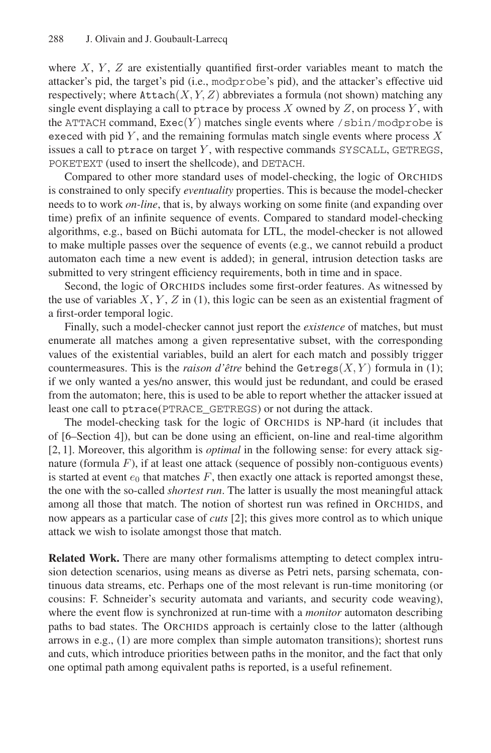where  $X, Y, Z$  are existentially quantified first-order variables meant to match the attacker's pid, the target's pid (i.e., modprobe's pid), and the attacker's effective uid respectively; where  $\text{Attention}(X, Y, Z)$  abbreviates a formula (not shown) matching any single event displaying a call to ptrace by process  $X$  owned by  $Z$ , on process  $Y$ , with the ATTACH command,  $\text{Exec}(Y)$  matches single events where /sbin/modprobe is execed with pid  $Y$ , and the remaining formulas match single events where process  $X$ issues a call to ptrace on target  $Y$ , with respective commands SYSCALL, GETREGS, POKETEXT (used to insert the shellcode), and DETACH.

Compared to other more standard uses of model-checking, the logic of ORCHIDS is constrained to only specify *eventuality* properties. This is because the model-checker needs to to work *on-line*, that is, by always working on some finite (and expanding over time) prefix of an infinite sequence of events. Compared to standard model-checking algorithms, e.g., based on Büchi automata for LTL, the model-checker is not allowed to make multiple passes over the sequence of events (e.g., we cannot rebuild a product automaton each time a new event is added); in general, intrusion detection tasks are submitted to very stringent efficiency requirements, both in time and in space.

Second, the logic of ORCHIDS includes some first-order features. As witnessed by the use of variables  $X, Y, Z$  in (1), this logic can be seen as an existential fragment of a first-order temporal logic.

Finally, such a model-checker cannot just report the *existence* of matches, but must enumerate all matches among a given representative subset, with the corresponding values of the existential variables, build an alert for each match and possibly trigger countermeasures. This is the *raison d'être* behind the  $Getregs(X, Y)$  formula in (1); if we only wanted a yes/no answer, this would just be redundant, and could be erased from the automaton; here, this is used to be able to report whether the attacker issued at least one call to ptrace(PTRACE\_GETREGS) or not during the attack.

The model-checking task for the logic of ORCHIDS is NP-hard (it includes that of [6–Section 4]), but can be done using an efficient, on-line and real-time algorithm [2, 1]. Moreover, this algorithm is *optimal* in the following sense: for every attack signature (formula  $F$ ), if at least one attack (sequence of possibly non-contiguous events) is started at event  $e_0$  that matches  $F$ , then exactly one attack is reported amongst these, the one with the so-called *shortest run*. The latter is usually the most meaningful attack among all those that match. The notion of shortest run was refined in ORCHIDS, and now appears as a particular case of *cuts* [2]; this gives more control as to which unique attack we wish to isolate amongst those that match.

**Related Work.** There are many other formalisms attempting to detect complex intrusion detection scenarios, using means as diverse as Petri nets, parsing schemata, continuous data streams, etc. Perhaps one of the most relevant is run-time monitoring (or cousins: F. Schneider's security automata and variants, and security code weaving), where the event flow is synchronized at run-time with a *monitor* automaton describing paths to bad states. The ORCHIDS approach is certainly close to the latter (although arrows in e.g., (1) are more complex than simple automaton transitions); shortest runs and cuts, which introduce priorities between paths in the monitor, and the fact that only one optimal path among equivalent paths is reported, is a useful refinement.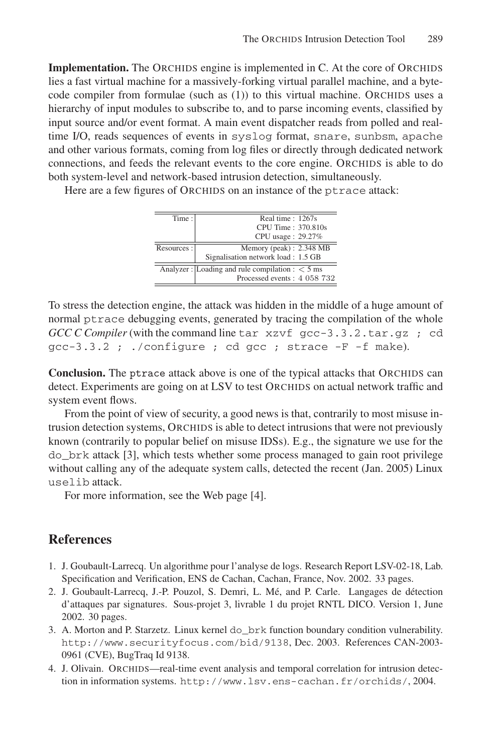**Implementation.** The ORCHIDS engine is implemented in C. At the core of ORCHIDS lies a fast virtual machine for a massively-forking virtual parallel machine, and a bytecode compiler from formulae (such as (1)) to this virtual machine. ORCHIDS uses a hierarchy of input modules to subscribe to, and to parse incoming events, classified by input source and/or event format. A main event dispatcher reads from polled and realtime I/O, reads sequences of events in syslog format, snare, sunbsm, apache and other various formats, coming from log files or directly through dedicated network connections, and feeds the relevant events to the core engine. ORCHIDS is able to do both system-level and network-based intrusion detection, simultaneously.

Here are a few figures of ORCHIDS on an instance of the ptrace attack:

| Time:       | Real time: 1267s                                   |
|-------------|----------------------------------------------------|
|             | CPU Time: 370.810s                                 |
|             | CPU usage: 29.27%                                  |
| Resources : | Memory (peak): 2.348 MB                            |
|             | Signalisation network load: 1.5 GB                 |
|             | Analyzer : Loading and rule compilation : $<$ 5 ms |
|             | Processed events: 4 058 732                        |

To stress the detection engine, the attack was hidden in the middle of a huge amount of normal ptrace debugging events, generated by tracing the compilation of the whole *GCC C Compiler* (with the command line tar xzvf gcc-3.3.2.tar.gz ; cd gcc-3.3.2 ; ./configure ; cd gcc ; strace -F -f make).

**Conclusion.** The ptrace attack above is one of the typical attacks that ORCHIDS can detect. Experiments are going on at LSV to test ORCHIDS on actual network traffic and system event flows.

From the point of view of security, a good news is that, contrarily to most misuse intrusion detection systems, ORCHIDS is able to detect intrusions that were not previously known (contrarily to popular belief on misuse IDSs). E.g., the signature we use for the do\_brk attack [3], which tests whether some process managed to gain root privilege without calling any of the adequate system calls, detected the recent (Jan. 2005) Linux uselib attack.

For more information, see the Web page [4].

## **References**

- 1. J. Goubault-Larrecq. Un algorithme pour l'analyse de logs. Research Report LSV-02-18, Lab. Specification and Verification, ENS de Cachan, Cachan, France, Nov. 2002. 33 pages.
- 2. J. Goubault-Larrecq, J.-P. Pouzol, S. Demri, L. Mé, and P. Carle. Langages de détection d'attaques par signatures. Sous-projet 3, livrable 1 du projet RNTL DICO. Version 1, June 2002. 30 pages.
- 3. A. Morton and P. Starzetz. Linux kernel do\_brk function boundary condition vulnerability. http://www.securityfocus.com/bid/9138, Dec. 2003. References CAN-2003- 0961 (CVE), BugTraq Id 9138.
- 4. J. Olivain. ORCHIDS—real-time event analysis and temporal correlation for intrusion detection in information systems. http://www.lsv.ens-cachan.fr/orchids/, 2004.